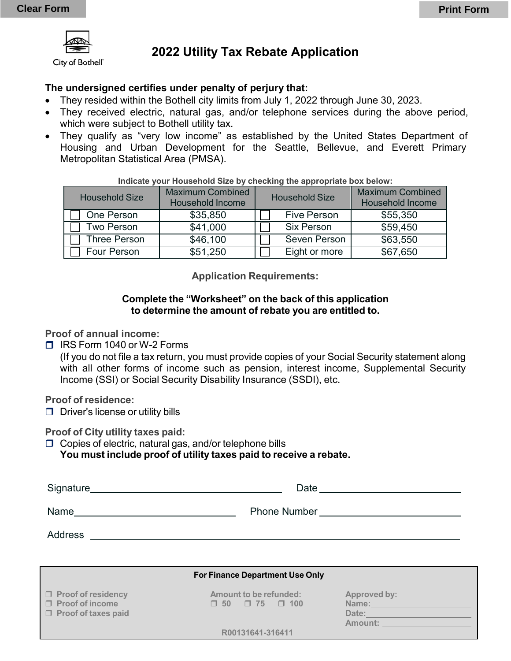

City of Bothell"

# **2022 Utility Tax Rebate Application**

## **The undersigned certifies under penalty of perjury that:**

- They resided within the Bothell city limits from July 1, 2022 through June 30, 2023.
- They received electric, natural gas, and/or telephone services during the above period, which were subject to Bothell utility tax.
- They qualify as "very low income" as established by the United States Department of Housing and Urban Development for the Seattle, Bellevue, and Everett Primary Metropolitan Statistical Area (PMSA).

| <b>Household Size</b> | <b>Maximum Combined</b><br><b>Household Income</b> | <b>Household Size</b> | <b>Maximum Combined</b><br><b>Household Income</b> |
|-----------------------|----------------------------------------------------|-----------------------|----------------------------------------------------|
| One Person            | \$35,850                                           | <b>Five Person</b>    | \$55,350                                           |
| Two Person            | \$41,000                                           | <b>Six Person</b>     | \$59,450                                           |
| <b>Three Person</b>   | \$46,100                                           | Seven Person          | \$63,550                                           |
| Four Person           | \$51,250                                           | Eight or more         | \$67,650                                           |

#### **Indicate your Household Size by checking the appropriate box below:**

#### **Application Requirements:**

### **Complete the "Worksheet" on the back of this application to determine the amount of rebate you are entitled to.**

**Proof of annual income:**

□ IRS Form 1040 or W-2 Forms

(If you do not file a tax return, you must provide copies of your Social Security statement along with all other forms of income such as pension, interest income, Supplemental Security Income (SSI) or Social Security Disability Insurance (SSDI), etc.

**Proof of residence:**

 $\Box$  Driver's license or utility bills

**Proof of City utility taxes paid:**

 $\Box$  Copies of electric, natural gas, and/or telephone bills **You must include proof of utility taxes paid to receive a rebate.**

| Signature<br><u> 1989 - Johann Stein, Amerikaansk politiker (</u> | Date and the contract of the contract of the contract of the contract of the contract of the contract of the contract of the contract of the contract of the contract of the contract of the contract of the contract of the c |
|-------------------------------------------------------------------|--------------------------------------------------------------------------------------------------------------------------------------------------------------------------------------------------------------------------------|
| Name                                                              | <b>Phone Number Example 2014</b>                                                                                                                                                                                               |
| Address                                                           |                                                                                                                                                                                                                                |
|                                                                   |                                                                                                                                                                                                                                |

|                                                                         | For Finance Department Use Only                          |                                           |
|-------------------------------------------------------------------------|----------------------------------------------------------|-------------------------------------------|
| □ Proof of residency<br>□ Proof of income<br>$\Box$ Proof of taxes paid | Amount to be refunded:<br>$\Box$ 50 $\Box$ 75 $\Box$ 100 | Approved by:<br>Name:<br>Date:<br>Amount: |
|                                                                         | R00131641-316411                                         |                                           |